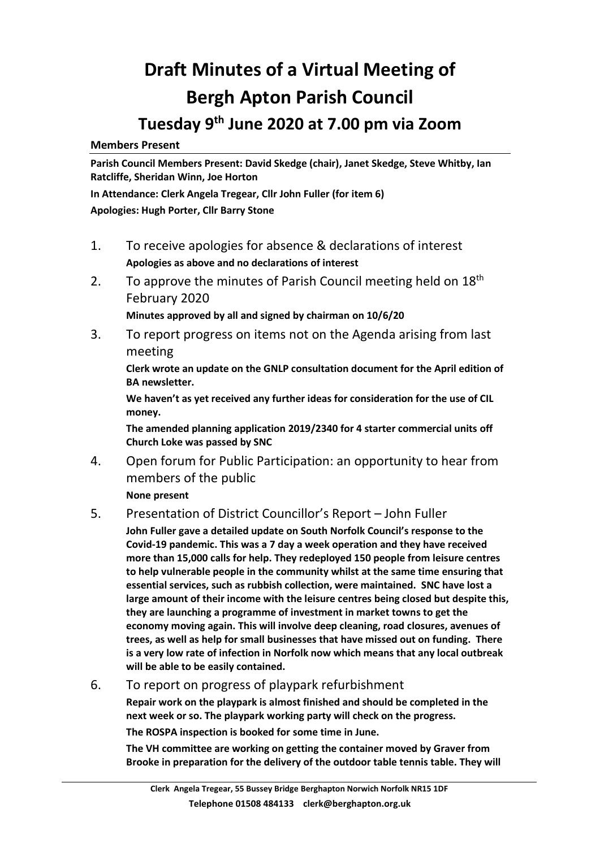## **Draft Minutes of a Virtual Meeting of Bergh Apton Parish Council Tuesday 9 th June 2020 at 7.00 pm via Zoom**

**Members Present**

**Parish Council Members Present: David Skedge (chair), Janet Skedge, Steve Whitby, Ian Ratcliffe, Sheridan Winn, Joe Horton**

**In Attendance: Clerk Angela Tregear, Cllr John Fuller (for item 6) Apologies: Hugh Porter, Cllr Barry Stone**

- 1. To receive apologies for absence & declarations of interest **Apologies as above and no declarations of interest**
- 2. To approve the minutes of Parish Council meeting held on  $18<sup>th</sup>$ February 2020

**Minutes approved by all and signed by chairman on 10/6/20**

3. To report progress on items not on the Agenda arising from last meeting

**Clerk wrote an update on the GNLP consultation document for the April edition of BA newsletter.** 

**We haven't as yet received any further ideas for consideration for the use of CIL money.**

**The amended planning application 2019/2340 for 4 starter commercial units off Church Loke was passed by SNC**

4. Open forum for Public Participation: an opportunity to hear from members of the public

**None present**

## 5. Presentation of District Councillor's Report – John Fuller

**John Fuller gave a detailed update on South Norfolk Council's response to the Covid-19 pandemic. This was a 7 day a week operation and they have received more than 15,000 calls for help. They redeployed 150 people from leisure centres to help vulnerable people in the community whilst at the same time ensuring that essential services, such as rubbish collection, were maintained. SNC have lost a large amount of their income with the leisure centres being closed but despite this, they are launching a programme of investment in market towns to get the economy moving again. This will involve deep cleaning, road closures, avenues of trees, as well as help for small businesses that have missed out on funding. There is a very low rate of infection in Norfolk now which means that any local outbreak will be able to be easily contained.**

6. To report on progress of playpark refurbishment

**Repair work on the playpark is almost finished and should be completed in the next week or so. The playpark working party will check on the progress. The ROSPA inspection is booked for some time in June.** 

**The VH committee are working on getting the container moved by Graver from Brooke in preparation for the delivery of the outdoor table tennis table. They will**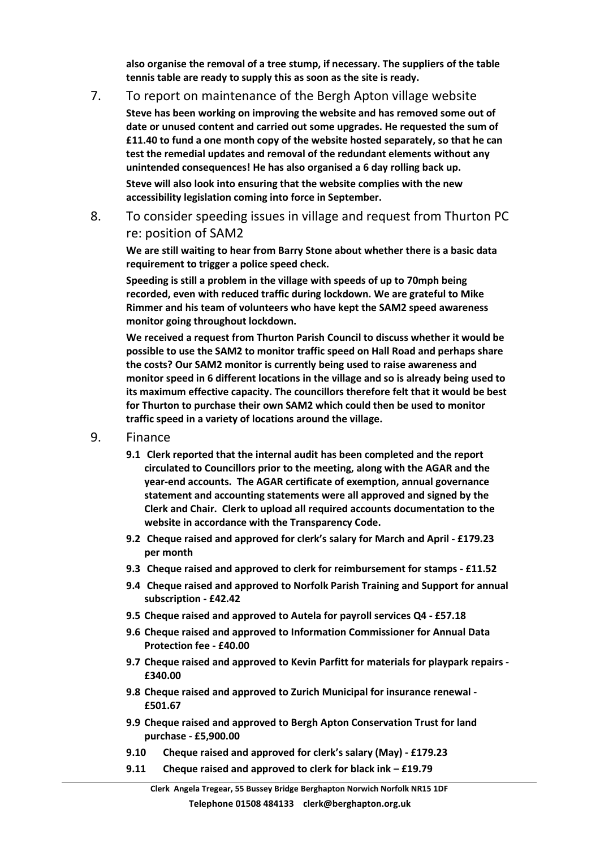**also organise the removal of a tree stump, if necessary. The suppliers of the table tennis table are ready to supply this as soon as the site is ready.**

## 7. To report on maintenance of the Bergh Apton village website

**Steve has been working on improving the website and has removed some out of date or unused content and carried out some upgrades. He requested the sum of £11.40 to fund a one month copy of the website hosted separately, so that he can test the remedial updates and removal of the redundant elements without any unintended consequences! He has also organised a 6 day rolling back up. Steve will also look into ensuring that the website complies with the new accessibility legislation coming into force in September.**

8. To consider speeding issues in village and request from Thurton PC re: position of SAM2

**We are still waiting to hear from Barry Stone about whether there is a basic data requirement to trigger a police speed check.** 

**Speeding is still a problem in the village with speeds of up to 70mph being recorded, even with reduced traffic during lockdown. We are grateful to Mike Rimmer and his team of volunteers who have kept the SAM2 speed awareness monitor going throughout lockdown.**

**We received a request from Thurton Parish Council to discuss whether it would be possible to use the SAM2 to monitor traffic speed on Hall Road and perhaps share the costs? Our SAM2 monitor is currently being used to raise awareness and monitor speed in 6 different locations in the village and so is already being used to its maximum effective capacity. The councillors therefore felt that it would be best for Thurton to purchase their own SAM2 which could then be used to monitor traffic speed in a variety of locations around the village.** 

- 9. Finance
	- **9.1 Clerk reported that the internal audit has been completed and the report circulated to Councillors prior to the meeting, along with the AGAR and the year-end accounts. The AGAR certificate of exemption, annual governance statement and accounting statements were all approved and signed by the Clerk and Chair. Clerk to upload all required accounts documentation to the website in accordance with the Transparency Code.**
	- **9.2 Cheque raised and approved for clerk's salary for March and April - £179.23 per month**
	- **9.3 Cheque raised and approved to clerk for reimbursement for stamps - £11.52**
	- **9.4 Cheque raised and approved to Norfolk Parish Training and Support for annual subscription - £42.42**
	- **9.5 Cheque raised and approved to Autela for payroll services Q4 - £57.18**
	- **9.6 Cheque raised and approved to Information Commissioner for Annual Data Protection fee - £40.00**
	- **9.7 Cheque raised and approved to Kevin Parfitt for materials for playpark repairs - £340.00**
	- **9.8 Cheque raised and approved to Zurich Municipal for insurance renewal - £501.67**
	- **9.9 Cheque raised and approved to Bergh Apton Conservation Trust for land purchase - £5,900.00**
	- **9.10 Cheque raised and approved for clerk's salary (May) - £179.23**
	- **9.11 Cheque raised and approved to clerk for black ink – £19.79**